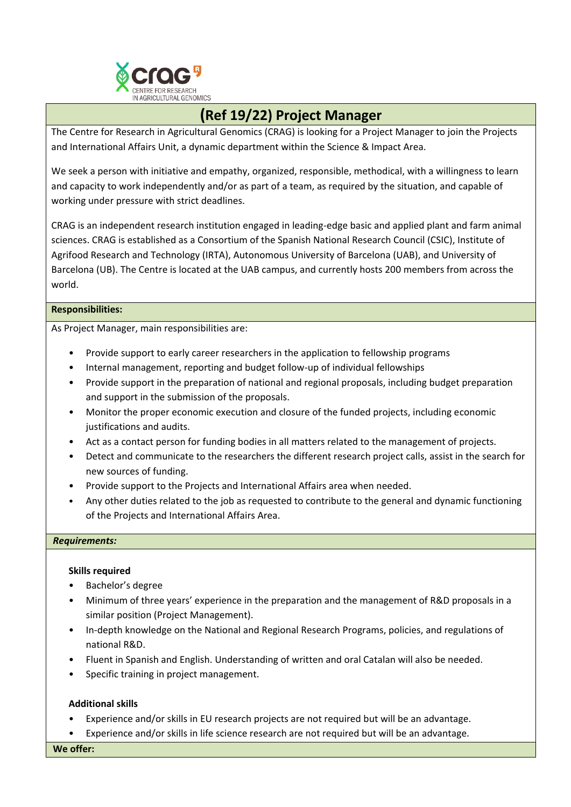

# **(Ref 19/22) Project Manager**

The Centre for Research in Agricultural Genomics (CRAG) is looking for a Project Manager to join the Projects and International Affairs Unit, a dynamic department within the Science & Impact Area.

We seek a person with initiative and empathy, organized, responsible, methodical, with a willingness to learn and capacity to work independently and/or as part of a team, as required by the situation, and capable of working under pressure with strict deadlines.

CRAG is an independent research institution engaged in leading-edge basic and applied plant and farm animal sciences. CRAG is established as a Consortium of the Spanish National Research Council (CSIC), Institute of Agrifood Research and Technology (IRTA), Autonomous University of Barcelona (UAB), and University of Barcelona (UB). The Centre is located at the UAB campus, and currently hosts 200 members from across the world.

## **Responsibilities:**

As Project Manager, main responsibilities are:

- Provide support to early career researchers in the application to fellowship programs
- Internal management, reporting and budget follow-up of individual fellowships
- Provide support in the preparation of national and regional proposals, including budget preparation and support in the submission of the proposals.
- Monitor the proper economic execution and closure of the funded projects, including economic justifications and audits.
- Act as a contact person for funding bodies in all matters related to the management of projects.
- Detect and communicate to the researchers the different research project calls, assist in the search for new sources of funding.
- Provide support to the Projects and International Affairs area when needed.
- Any other duties related to the job as requested to contribute to the general and dynamic functioning of the Projects and International Affairs Area.

### *Requirements:*

## **Skills required**

- Bachelor's degree
- Minimum of three years' experience in the preparation and the management of R&D proposals in a similar position (Project Management).
- In-depth knowledge on the National and Regional Research Programs, policies, and regulations of national R&D.
- Fluent in Spanish and English. Understanding of written and oral Catalan will also be needed.
- Specific training in project management.

## **Additional skills**

- Experience and/or skills in EU research projects are not required but will be an advantage.
- Experience and/or skills in life science research are not required but will be an advantage.

**We offer:**